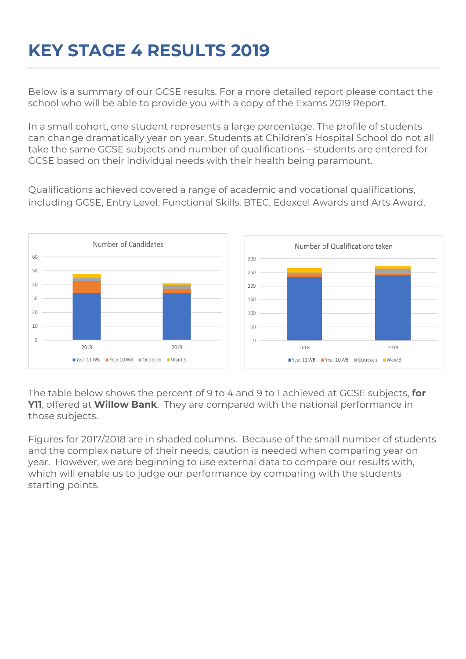## **KEY STAGE 4 RESULTS 2019**

Below is a summary of our GCSE results. For a more detailed report please contact the school who will be able to provide you with a copy of the Exams 2019 Report.

In a small cohort, one student represents a large percentage. The profile of students can change dramatically year on year. Students at Children's Hospital School do not all take the same GCSE subjects and number of qualifications – students are entered for GCSE based on their individual needs with their health being paramount.

Qualifications achieved covered a range of academic and vocational qualifications, including GCSE, Entry Level, Functional Skills, BTEC, Edexcel Awards and Arts Award.



The table below shows the percent of 9 to 4 and 9 to 1 achieved at GCSE subjects, **for Y11**, offered at **Willow Bank**. They are compared with the national performance in those subjects.

Figures for 2017/2018 are in shaded columns. Because of the small number of students and the complex nature of their needs, caution is needed when comparing year on year. However, we are beginning to use external data to compare our results with, which will enable us to judge our performance by comparing with the students starting points.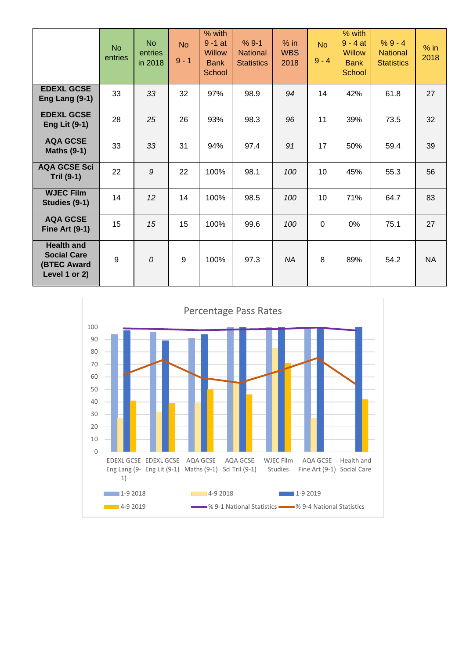|                                                                                | <b>No</b><br>entries | <b>No</b><br>entries<br>in 2018 | <b>No</b><br>$9 - 1$ | % with<br>$9 - 1$ at<br><b>Willow</b><br><b>Bank</b><br><b>School</b> | $%9-1$<br><b>National</b><br><b>Statistics</b> | $%$ in<br><b>WBS</b><br>2018 | <b>No</b><br>$9 - 4$ | % with<br>$9 - 4$ at<br><b>Willow</b><br><b>Bank</b><br><b>School</b> | $%9 - 4$<br><b>National</b><br><b>Statistics</b> | $%$ in<br>2018 |
|--------------------------------------------------------------------------------|----------------------|---------------------------------|----------------------|-----------------------------------------------------------------------|------------------------------------------------|------------------------------|----------------------|-----------------------------------------------------------------------|--------------------------------------------------|----------------|
| <b>EDEXL GCSE</b><br>Eng Lang $(9-1)$                                          | 33                   | 33                              | 32                   | 97%                                                                   | 98.9                                           | 94                           | 14                   | 42%                                                                   | 61.8                                             | 27             |
| <b>EDEXL GCSE</b><br><b>Eng Lit (9-1)</b>                                      | 28                   | 25                              | 26                   | 93%                                                                   | 98.3                                           | 96                           | 11                   | 39%                                                                   | 73.5                                             | 32             |
| <b>AQA GCSE</b><br><b>Maths (9-1)</b>                                          | 33                   | 33                              | 31                   | 94%                                                                   | 97.4                                           | 91                           | 17                   | 50%                                                                   | 59.4                                             | 39             |
| <b>AQA GCSE Sci</b><br><b>Tril (9-1)</b>                                       | 22                   | 9                               | 22                   | 100%                                                                  | 98.1                                           | 100                          | 10                   | 45%                                                                   | 55.3                                             | 56             |
| <b>WJEC Film</b><br>Studies (9-1)                                              | 14                   | 12                              | 14                   | 100%                                                                  | 98.5                                           | 100                          | 10                   | 71%                                                                   | 64.7                                             | 83             |
| <b>AQA GCSE</b><br><b>Fine Art (9-1)</b>                                       | 15                   | 15                              | 15                   | 100%                                                                  | 99.6                                           | 100                          | 0                    | 0%                                                                    | 75.1                                             | 27             |
| <b>Health and</b><br><b>Social Care</b><br><b>(BTEC Award</b><br>Level 1 or 2) | 9                    | 0                               | $9\,$                | 100%                                                                  | 97.3                                           | <b>NA</b>                    | 8                    | 89%                                                                   | 54.2                                             | <b>NA</b>      |

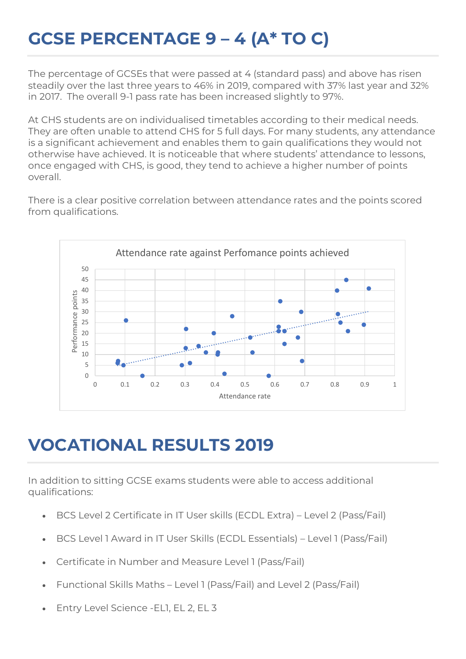## **GCSE PERCENTAGE 9 – 4 (A\* TO C)**

The percentage of GCSEs that were passed at 4 (standard pass) and above has risen steadily over the last three years to 46% in 2019, compared with 37% last year and 32% in 2017. The overall 9-1 pass rate has been increased slightly to 97%.

At CHS students are on individualised timetables according to their medical needs. They are often unable to attend CHS for 5 full days. For many students, any attendance is a significant achievement and enables them to gain qualifications they would not otherwise have achieved. It is noticeable that where students' attendance to lessons, once engaged with CHS, is good, they tend to achieve a higher number of points overall.

There is a clear positive correlation between attendance rates and the points scored from qualifications.



## **VOCATIONAL RESULTS 2019**

In addition to sitting GCSE exams students were able to access additional qualifications:

- BCS Level 2 Certificate in IT User skills (ECDL Extra) Level 2 (Pass/Fail)
- BCS Level 1 Award in IT User Skills (ECDL Essentials) Level 1 (Pass/Fail)
- Certificate in Number and Measure Level 1 (Pass/Fail)
- Functional Skills Maths Level 1 (Pass/Fail) and Level 2 (Pass/Fail)
- Entry Level Science -EL1, EL 2, EL 3